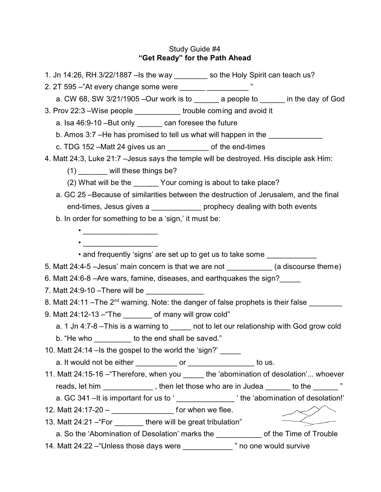# Study Guide #4 **"Get Ready" for the Path Ahead**

| 1. Jn 14:26, RH 3/22/1887 –Is the way ________ so the Holy Spirit can teach us?                         |  |  |
|---------------------------------------------------------------------------------------------------------|--|--|
| 2. 2T 595 -"At every change some were _______ _______________ "                                         |  |  |
| a. CW 68, SW 3/21/1905 - Our work is to _______ a people to ______ in the day of God                    |  |  |
| 3. Prov 22:3 - Wise people _____________ trouble coming and avoid it                                    |  |  |
| a. Isa 46:9-10 - But only _______ can foresee the future                                                |  |  |
| b. Amos 3:7 -He has promised to tell us what will happen in the                                         |  |  |
| c. TDG 152 $-Matt$ 24 gives us an $\frac{1}{2}$ of the end-times                                        |  |  |
| 4. Matt 24:3, Luke 21:7 - Jesus says the temple will be destroyed. His disciple ask Him:                |  |  |
| $(1)$ ________ will these things be?                                                                    |  |  |
| (2) What will be the ________ Your coming is about to take place?                                       |  |  |
| a. GC 25 – Because of similarities between the destruction of Jerusalem, and the final                  |  |  |
| end-times, Jesus gives a ______________ prophecy dealing with both events                               |  |  |
| b. In order for something to be a 'sign,' it must be:                                                   |  |  |
| $\bullet$                                                                                               |  |  |
| $\bullet$                                                                                               |  |  |
| • and frequently 'signs' are set up to get us to take some                                              |  |  |
| 5. Matt 24:4-5 - Jesus' main concern is that we are not ____________ (a discourse theme)                |  |  |
| 6. Matt 24:6-8 –Are wars, famine, diseases, and earthquakes the sign?                                   |  |  |
| 7. Matt 24:9-10 - There will be ________________                                                        |  |  |
| 8. Matt 24:11 - The 2 <sup>nd</sup> warning. Note: the danger of false prophets is their false ________ |  |  |
| 9. Matt 24:12-13 - "The ________ of many will grow cold"                                                |  |  |
| a. 1 Jn 4:7-8 - This is a warning to _____ not to let our relationship with God grow cold               |  |  |
| b. "He who _________ to the end shall be saved."                                                        |  |  |
| 10. Matt 24:14 - Is the gospel to the world the 'sign?'                                                 |  |  |
| a. It would not be either ____________ or _________________ to us.                                      |  |  |
| 11. Matt 24:15-16 - "Therefore, when you _____ the 'abomination of desolation' whoever                  |  |  |
| reads, let him _____________, then let those who are in Judea ______ to the ______"                     |  |  |
|                                                                                                         |  |  |
| a. GC 341 - It is important for us to '________________' the 'abomination of desolation!'               |  |  |
| 12. Matt 24:17-20 – _______________________ for when we flee.                                           |  |  |
| 13. Matt 24:21 - "For _________ there will be great tribulation"                                        |  |  |
| a. So the 'Abomination of Desolation' marks the _____________ of the Time of Trouble                    |  |  |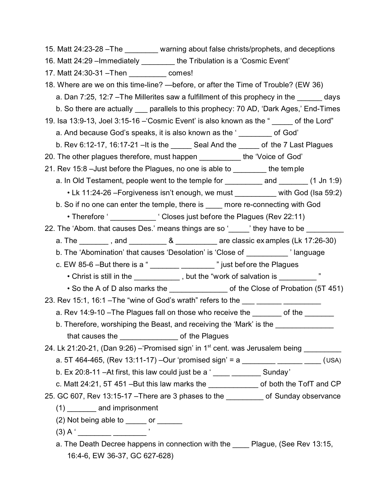15. Matt 24:23-28 –The \_\_\_\_\_\_\_\_ warning about false christs/prophets, and deceptions 16. Matt 24:29 –Immediately \_\_\_\_\_\_\_\_ the Tribulation is a 'Cosmic Event' 17. Matt 24:30-31 –Then \_\_\_\_\_\_\_\_\_ comes! 18. Where are we on this time-line? —before, or after the Time of Trouble? (EW 36) a. Dan 7:25, 12:7 –The Millerites saw a fulfillment of this prophecy in the days b. So there are actually parallels to this prophecy: 70 AD, 'Dark Ages,' End-Times 19. Isa 13:9-13, Joel 3:15-16 –'Cosmic Event' is also known as the " \_\_\_\_\_ of the Lord" a. And because God's speaks, it is also known as the ' \_\_\_\_\_\_\_\_ of God' b. Rev 6:12-17, 16:17-21 –It is the  $\qquad$  Seal And the  $\qquad$  of the 7 Last Plagues 20. The other plagues therefore, must happen the 'Voice of God' 21. Rev 15:8 –Just before the Plagues, no one is able to \_\_\_\_\_\_\_\_ the temple a. In Old Testament, people went to the temple for \_\_\_\_\_\_\_\_\_ and \_\_\_\_\_\_\_ (1 Jn 1:9) • Lk 11:24-26 - Forgiveness isn't enough, we must \_\_\_\_\_\_\_\_\_ with God (Isa 59:2) b. So if no one can enter the temple, there is \_\_\_\_ more re-connecting with God • Therefore ' Therefore ' Closes just before the Plagues (Rev 22:11) 22. The 'Abom. that causes Des.' means things are so ' all ithey have to be a. The  $\qquad \qquad$ , and  $\qquad \qquad 8$  are classic ex amples (Lk 17:26-30) b. The 'Abomination' that causes 'Desolation' is 'Close of \_\_\_\_\_\_\_\_\_\_ ' language c. EW 85-6  $-$ But there is a " $\frac{1}{2}$  \_\_\_\_\_\_\_\_\_\_\_\_\_\_\_\_\_\_\_\_\_\_ " just before the Plagues • Christ is still in the \_\_\_\_\_\_\_\_\_\_\_\_, but the "work of salvation is \_\_\_\_\_\_\_\_ " • So the A of D also marks the \_\_\_\_\_\_\_\_\_\_\_\_\_\_\_\_\_\_\_\_\_\_\_\_ of the Close of Probation (5T 451) 23. Rev 15:1, 16:1 – The "wine of God's wrath" refers to the \_\_\_ \_\_\_\_\_\_ \_\_\_ a. Rev 14:9-10 - The Plagues fall on those who receive the \_\_\_\_\_\_\_ of the \_\_\_\_\_\_ b. Therefore, worshiping the Beast, and receiving the 'Mark' is the that causes the **contract of the Plagues** 24. Lk 21:20-21, (Dan 9:26) –'Promised sign' in 1<sup>st</sup> cent. was Jerusalem being \_\_\_\_\_\_\_\_ a. 5T 464-465, (Rev 13:11-17) –Our 'promised sign' = a \_\_\_\_\_\_\_\_\_\_\_\_\_\_\_\_\_\_\_\_\_\_\_\_\_\_(USA) b. Ex 20:8-11 –At first, this law could just be a ' \_\_\_\_ \_\_\_\_\_\_\_ Sunday' c. Matt 24:21, 5T 451 – But this law marks the endotendally of both the TofT and CP 25. GC 607, Rev 13:15-17 –There are 3 phases to the \_\_\_\_\_\_\_\_\_ of Sunday observance (1) \_\_\_\_\_\_\_ and imprisonment  $(2)$  Not being able to  $\qquad$  or  $\qquad$ (3) A ' \_\_\_\_\_\_\_\_ \_\_\_\_\_\_\_\_ ' a. The Death Decree happens in connection with the Plague, (See Rev 13:15,

16:4-6, EW 36-37, GC 627-628)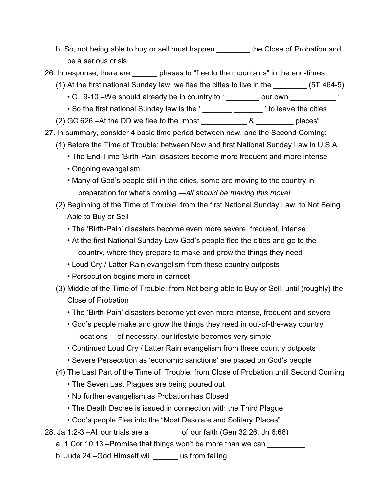- b. So, not being able to buy or sell must happen the Close of Probation and be a serious crisis
- 26. In response, there are hases to "flee to the mountains" in the end-times
	- (1) At the first national Sunday law, we flee the cities to live in the  $(5T 464-5)$ 
		- CL 9-10 We should already be in country to ' \_\_\_\_\_\_\_\_ our own \_\_\_\_\_\_\_\_\_\_
		- So the first national Sunday law is the ' \_\_\_\_\_\_\_ \_\_\_\_\_\_\_\_\_ ' to leave the cities
	- (2) GC 626 –At the DD we flee to the "most  $\&$  blaces"
- 27. In summary, consider 4 basic time period between now, and the Second Coming:
	- (1) Before the Time of Trouble: between Now and first National Sunday Law in U.S.A.
		- The End-Time 'Birth-Pain' disasters become more frequent and more intense
		- Ongoing evangelism
		- Many of God's people still in the cities, some are moving to the country in preparation for what's coming —*all should be making this move!*
	- (2) Beginning of the Time of Trouble: from the first National Sunday Law, to Not Being Able to Buy or Sell
		- The 'Birth-Pain' disasters become even more severe, frequent, intense
		- At the first National Sunday Law God's people flee the cities and go to the country, where they prepare to make and grow the things they need
		- Loud Cry / Latter Rain evangelism from these country outposts
		- Persecution begins more in earnest
	- (3) Middle of the Time of Trouble: from Not being able to Buy or Sell, until (roughly) the Close of Probation
		- The 'Birth-Pain' disasters become yet even more intense, frequent and severe
		- God's people make and grow the things they need in out-of-the-way country locations —of necessity, our lifestyle becomes very simple
		- Continued Loud Cry / Latter Rain evangelism from these country outposts
		- Severe Persecution as 'economic sanctions' are placed on God's people
	- (4) The Last Part of the Time of Trouble: from Close of Probation until Second Coming
		- The Seven Last Plagues are being poured out
		- No further evangelism as Probation has Closed
		- The Death Decree is issued in connection with the Third Plague
		- God's people Flee into the "Most Desolate and Solitary Places"
- 28. Ja 1:2-3 –All our trials are a \_\_\_\_\_\_\_ of our faith (Gen 32:26, Jn 6:68)
	- a. 1 Cor 10:13 –Promise that things won't be more than we can
	- b. Jude 24 -God Himself will \_\_\_\_\_\_ us from falling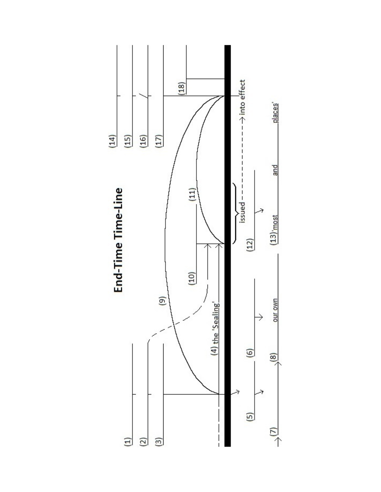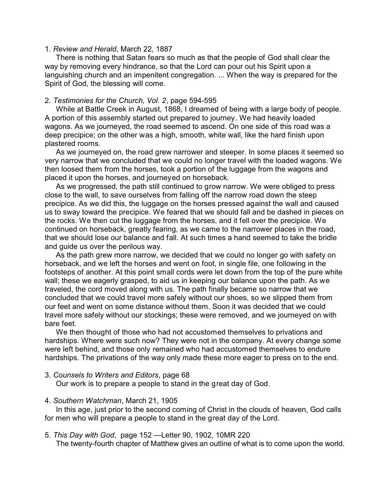### 1. *Review and Herald*, March 22, 1887

There is nothing that Satan fears so much as that the people of God shall clear the way by removing every hindrance, so that the Lord can pour out his Spirit upon a languishing church and an impenitent congregation. ... When the way is prepared for the Spirit of God, the blessing will come.

# 2. *Testimonies for the Church, Vol. 2*, page 594-595

While at Battle Creek in August, 1868, I dreamed of being with a large body of people. A portion of this assembly started out prepared to journey. We had heavily loaded wagons. As we journeyed, the road seemed to ascend. On one side of this road was a deep precipice; on the other was a high, smooth, white wall, like the hard finish upon plastered rooms.

As we journeyed on, the road grew narrower and steeper. In some places it seemed so very narrow that we concluded that we could no longer travel with the loaded wagons. We then loosed them from the horses, took a portion of the luggage from the wagons and placed it upon the horses, and journeyed on horseback.

As we progressed, the path still continued to grow narrow. We were obliged to press close to the wall, to save ourselves from falling off the narrow road down the steep precipice. As we did this, the luggage on the horses pressed against the wall and caused us to sway toward the precipice. We feared that we should fall and be dashed in pieces on the rocks. We then cut the luggage from the horses, and it fell over the precipice. We continued on horseback, greatly fearing, as we came to the narrower places in the road, that we should lose our balance and fall. At such times a hand seemed to take the bridle and guide us over the perilous way.

As the path grew more narrow, we decided that we could no longer go with safety on horseback, and we left the horses and went on foot, in single file, one following in the footsteps of another. At this point small cords were let down from the top of the pure white wall; these we eagerly grasped, to aid us in keeping our balance upon the path. As we traveled, the cord moved along with us. The path finally became so narrow that we concluded that we could travel more safely without our shoes, so we slipped them from our feet and went on some distance without them. Soon it was decided that we could travel more safely without our stockings; these were removed, and we journeyed on with bare feet.

We then thought of those who had not accustomed themselves to privations and hardships. Where were such now? They were not in the company. At every change some were left behind, and those only remained who had accustomed themselves to endure hardships. The privations of the way only made these more eager to press on to the end.

3. *Counsels to Writers and Editors*, page 68

Our work is to prepare a people to stand in the great day of God.

# 4. *Southern Watchman*, March 21, 1905

In this age, just prior to the second coming of Christ in the clouds of heaven, God calls for men who will prepare a people to stand in the great day of the Lord.

# 5. *This Day with God*, page 152 —Letter 90, 1902, 10MR 220

The twenty-fourth chapter of Matthew gives an outline of what is to come upon the world.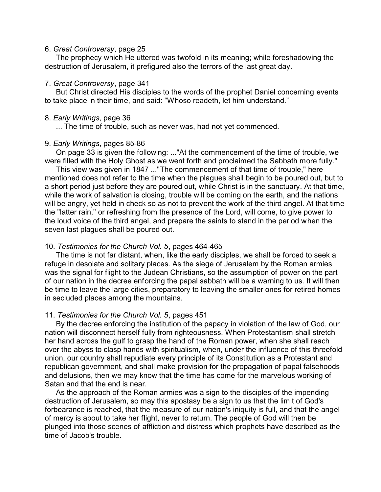## 6. *Great Controversy*, page 25

The prophecy which He uttered was twofold in its meaning; while foreshadowing the destruction of Jerusalem, it prefigured also the terrors of the last great day.

#### 7. *Great Controversy*, page 341

But Christ directed His disciples to the words of the prophet Daniel concerning events to take place in their time, and said: "Whoso readeth, let him understand."

#### 8. *Early Writings*, page 36

... The time of trouble, such as never was, had not yet commenced.

#### 9. *Early Writings*, pages 85-86

On page 33 is given the following: ..."At the commencement of the time of trouble, we were filled with the Holy Ghost as we went forth and proclaimed the Sabbath more fully."

This view was given in 1847 ..."The commencement of that time of trouble," here mentioned does not refer to the time when the plagues shall begin to be poured out, but to a short period just before they are poured out, while Christ is in the sanctuary. At that time, while the work of salvation is closing, trouble will be coming on the earth, and the nations will be angry, yet held in check so as not to prevent the work of the third angel. At that time the "latter rain," or refreshing from the presence of the Lord, will come, to give power to the loud voice of the third angel, and prepare the saints to stand in the period when the seven last plagues shall be poured out.

#### 10. *Testimonies for the Church Vol. 5*, pages 464-465

The time is not far distant, when, like the early disciples, we shall be forced to seek a refuge in desolate and solitary places. As the siege of Jerusalem by the Roman armies was the signal for flight to the Judean Christians, so the assumption of power on the part of our nation in the decree enforcing the papal sabbath will be a warning to us. It will then be time to leave the large cities, preparatory to leaving the smaller ones for retired homes in secluded places among the mountains.

#### 11. *Testimonies for the Church Vol. 5*, pages 451

By the decree enforcing the institution of the papacy in violation of the law of God, our nation will disconnect herself fully from righteousness. When Protestantism shall stretch her hand across the gulf to grasp the hand of the Roman power, when she shall reach over the abyss to clasp hands with spiritualism, when, under the influence of this threefold union, our country shall repudiate every principle of its Constitution as a Protestant and republican government, and shall make provision for the propagation of papal falsehoods and delusions, then we may know that the time has come for the marvelous working of Satan and that the end is near.

As the approach of the Roman armies was a sign to the disciples of the impending destruction of Jerusalem, so may this apostasy be a sign to us that the limit of God's forbearance is reached, that the measure of our nation's iniquity is full, and that the angel of mercy is about to take her flight, never to return. The people of God will then be plunged into those scenes of affliction and distress which prophets have described as the time of Jacob's trouble.